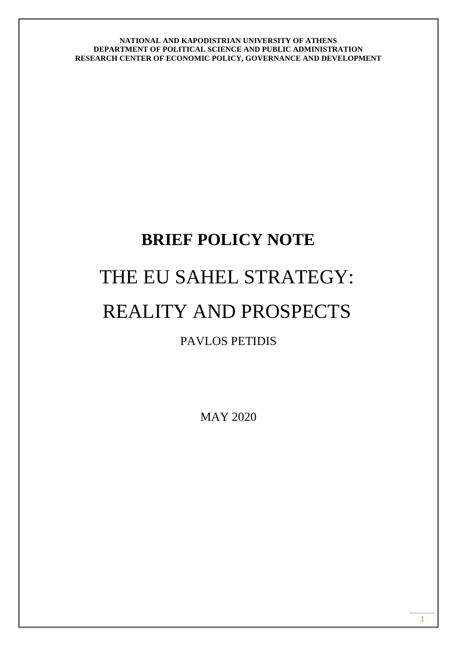# **BRIEF POLICY NOTE** THE EU SAHEL STRATEGY: REALITY AND PROSPECTS PAVLOS PETIDIS

MAY 2020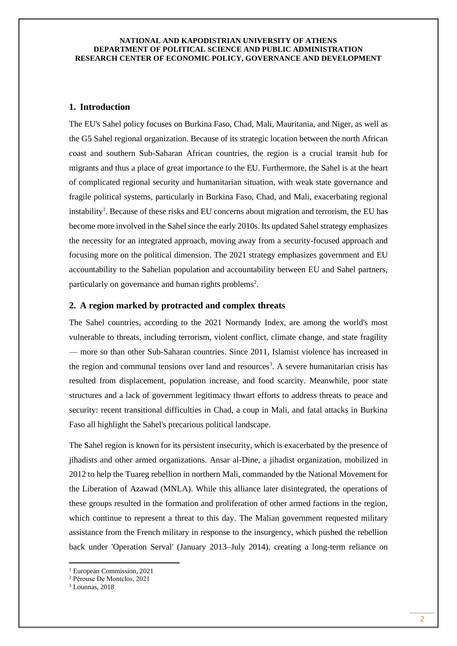# **1. Introduction**

The EU's Sahel policy focuses on Burkina Faso, Chad, Mali, Mauritania, and Niger, as well as the G5 Sahel regional organization. Because of its strategic location between the north African coast and southern Sub-Saharan African countries, the region is a crucial transit hub for migrants and thus a place of great importance to the EU. Furthermore, the Sahel is at the heart of complicated regional security and humanitarian situation, with weak state governance and fragile political systems, particularly in Burkina Faso, Chad, and Mali, exacerbating regional instability<sup>1</sup>. Because of these risks and EU concerns about migration and terrorism, the EU has become more involved in the Sahel since the early 2010s. Its updated Sahel strategy emphasizes the necessity for an integrated approach, moving away from a security-focused approach and focusing more on the political dimension. The 2021 strategy emphasizes government and EU accountability to the Sahelian population and accountability between EU and Sahel partners, particularly on governance and human rights problems<sup>2</sup>.

### **2. A region marked by protracted and complex threats**

The Sahel countries, according to the 2021 Normandy Index, are among the world's most vulnerable to threats, including terrorism, violent conflict, climate change, and state fragility — more so than other Sub-Saharan countries. Since 2011, Islamist violence has increased in the region and communal tensions over land and resources<sup>3</sup>. A severe humanitarian crisis has resulted from displacement, population increase, and food scarcity. Meanwhile, poor state structures and a lack of government legitimacy thwart efforts to address threats to peace and security: recent transitional difficulties in Chad, a coup in Mali, and fatal attacks in Burkina Faso all highlight the Sahel's precarious political landscape.

The Sahel region is known for its persistent insecurity, which is exacerbated by the presence of jihadists and other armed organizations. Ansar al-Dine, a jihadist organization, mobilized in 2012 to help the Tuareg rebellion in northern Mali, commanded by the National Movement for the Liberation of Azawad (MNLA). While this alliance later disintegrated, the operations of these groups resulted in the formation and proliferation of other armed factions in the region, which continue to represent a threat to this day. The Malian government requested military assistance from the French military in response to the insurgency, which pushed the rebellion back under 'Operation Serval' (January 2013–July 2014), creating a long-term reliance on

<sup>1</sup> European Commission, 2021

<sup>2</sup> Pérouse De Montclos, 2021

<sup>3</sup> Lounnas, 2018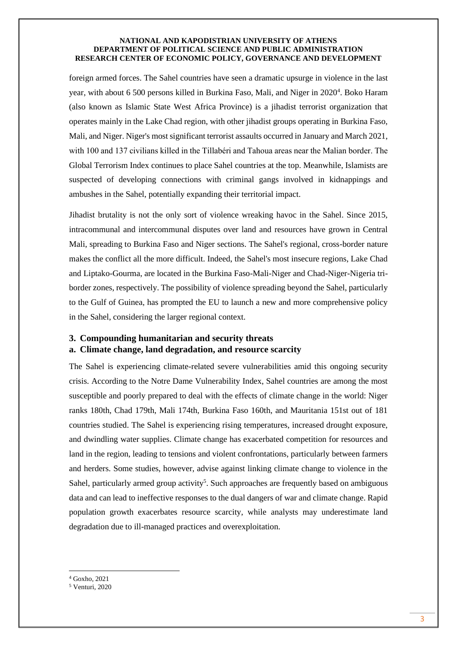foreign armed forces. The Sahel countries have seen a dramatic upsurge in violence in the last year, with about 6 500 persons killed in Burkina Faso, Mali, and Niger in 2020<sup>4</sup>. Boko Haram (also known as Islamic State West Africa Province) is a jihadist terrorist organization that operates mainly in the Lake Chad region, with other jihadist groups operating in Burkina Faso, Mali, and Niger. Niger's most significant terrorist assaults occurred in January and March 2021, with 100 and 137 civilians killed in the Tillabéri and Tahoua areas near the Malian border. The Global Terrorism Index continues to place Sahel countries at the top. Meanwhile, Islamists are suspected of developing connections with criminal gangs involved in kidnappings and ambushes in the Sahel, potentially expanding their territorial impact.

Jihadist brutality is not the only sort of violence wreaking havoc in the Sahel. Since 2015, intracommunal and intercommunal disputes over land and resources have grown in Central Mali, spreading to Burkina Faso and Niger sections. The Sahel's regional, cross-border nature makes the conflict all the more difficult. Indeed, the Sahel's most insecure regions, Lake Chad and Liptako-Gourma, are located in the Burkina Faso-Mali-Niger and Chad-Niger-Nigeria triborder zones, respectively. The possibility of violence spreading beyond the Sahel, particularly to the Gulf of Guinea, has prompted the EU to launch a new and more comprehensive policy in the Sahel, considering the larger regional context.

# **3. Compounding humanitarian and security threats a. Climate change, land degradation, and resource scarcity**

The Sahel is experiencing climate-related severe vulnerabilities amid this ongoing security crisis. According to the Notre Dame Vulnerability Index, Sahel countries are among the most susceptible and poorly prepared to deal with the effects of climate change in the world: Niger ranks 180th, Chad 179th, Mali 174th, Burkina Faso 160th, and Mauritania 151st out of 181 countries studied. The Sahel is experiencing rising temperatures, increased drought exposure, and dwindling water supplies. Climate change has exacerbated competition for resources and land in the region, leading to tensions and violent confrontations, particularly between farmers and herders. Some studies, however, advise against linking climate change to violence in the Sahel, particularly armed group activity<sup>5</sup>. Such approaches are frequently based on ambiguous data and can lead to ineffective responses to the dual dangers of war and climate change. Rapid population growth exacerbates resource scarcity, while analysts may underestimate land degradation due to ill-managed practices and overexploitation.

<sup>4</sup> Goxho, 2021

<sup>5</sup> Venturi, 2020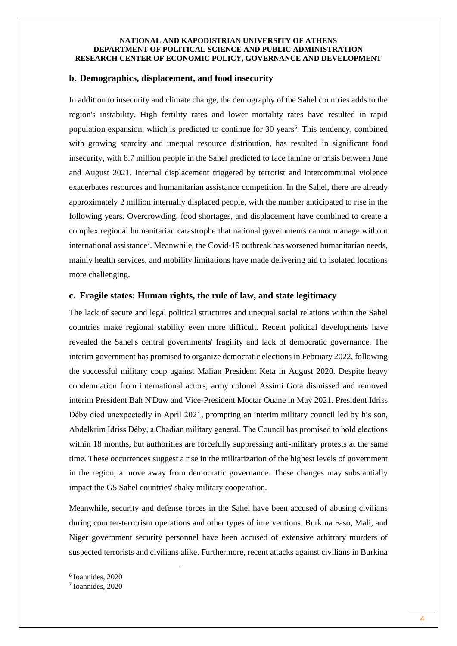# **b. Demographics, displacement, and food insecurity**

In addition to insecurity and climate change, the demography of the Sahel countries adds to the region's instability. High fertility rates and lower mortality rates have resulted in rapid population expansion, which is predicted to continue for 30 years<sup>6</sup>. This tendency, combined with growing scarcity and unequal resource distribution, has resulted in significant food insecurity, with 8.7 million people in the Sahel predicted to face famine or crisis between June and August 2021. Internal displacement triggered by terrorist and intercommunal violence exacerbates resources and humanitarian assistance competition. In the Sahel, there are already approximately 2 million internally displaced people, with the number anticipated to rise in the following years. Overcrowding, food shortages, and displacement have combined to create a complex regional humanitarian catastrophe that national governments cannot manage without international assistance<sup>7</sup>. Meanwhile, the Covid-19 outbreak has worsened humanitarian needs, mainly health services, and mobility limitations have made delivering aid to isolated locations more challenging.

## **c. Fragile states: Human rights, the rule of law, and state legitimacy**

The lack of secure and legal political structures and unequal social relations within the Sahel countries make regional stability even more difficult. Recent political developments have revealed the Sahel's central governments' fragility and lack of democratic governance. The interim government has promised to organize democratic elections in February 2022, following the successful military coup against Malian President Keta in August 2020. Despite heavy condemnation from international actors, army colonel Assimi Gota dismissed and removed interim President Bah N'Daw and Vice-President Moctar Ouane in May 2021. President Idriss Déby died unexpectedly in April 2021, prompting an interim military council led by his son, Abdelkrim Idriss Déby, a Chadian military general. The Council has promised to hold elections within 18 months, but authorities are forcefully suppressing anti-military protests at the same time. These occurrences suggest a rise in the militarization of the highest levels of government in the region, a move away from democratic governance. These changes may substantially impact the G5 Sahel countries' shaky military cooperation.

Meanwhile, security and defense forces in the Sahel have been accused of abusing civilians during counter-terrorism operations and other types of interventions. Burkina Faso, Mali, and Niger government security personnel have been accused of extensive arbitrary murders of suspected terrorists and civilians alike. Furthermore, recent attacks against civilians in Burkina

<sup>6</sup> Ioannides, 2020

<sup>7</sup> Ioannides, 2020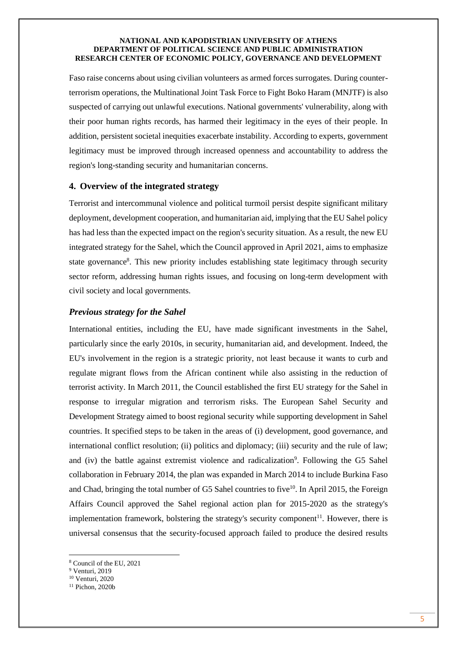Faso raise concerns about using civilian volunteers as armed forces surrogates. During counterterrorism operations, the Multinational Joint Task Force to Fight Boko Haram (MNJTF) is also suspected of carrying out unlawful executions. National governments' vulnerability, along with their poor human rights records, has harmed their legitimacy in the eyes of their people. In addition, persistent societal inequities exacerbate instability. According to experts, government legitimacy must be improved through increased openness and accountability to address the region's long-standing security and humanitarian concerns.

# **4. Overview of the integrated strategy**

Terrorist and intercommunal violence and political turmoil persist despite significant military deployment, development cooperation, and humanitarian aid, implying that the EU Sahel policy has had less than the expected impact on the region's security situation. As a result, the new EU integrated strategy for the Sahel, which the Council approved in April 2021, aims to emphasize state governance<sup>8</sup>. This new priority includes establishing state legitimacy through security sector reform, addressing human rights issues, and focusing on long-term development with civil society and local governments.

## *Previous strategy for the Sahel*

International entities, including the EU, have made significant investments in the Sahel, particularly since the early 2010s, in security, humanitarian aid, and development. Indeed, the EU's involvement in the region is a strategic priority, not least because it wants to curb and regulate migrant flows from the African continent while also assisting in the reduction of terrorist activity. In March 2011, the Council established the first EU strategy for the Sahel in response to irregular migration and terrorism risks. The European Sahel Security and Development Strategy aimed to boost regional security while supporting development in Sahel countries. It specified steps to be taken in the areas of (i) development, good governance, and international conflict resolution; (ii) politics and diplomacy; (iii) security and the rule of law; and (iv) the battle against extremist violence and radicalization<sup>9</sup>. Following the G5 Sahel collaboration in February 2014, the plan was expanded in March 2014 to include Burkina Faso and Chad, bringing the total number of G5 Sahel countries to five<sup>10</sup>. In April 2015, the Foreign Affairs Council approved the Sahel regional action plan for 2015-2020 as the strategy's implementation framework, bolstering the strategy's security component<sup>11</sup>. However, there is universal consensus that the security-focused approach failed to produce the desired results

<sup>8</sup> Council of the EU, 2021

<sup>9</sup> Venturi, 2019

<sup>10</sup> Venturi, 2020

<sup>11</sup> Pichon, 2020b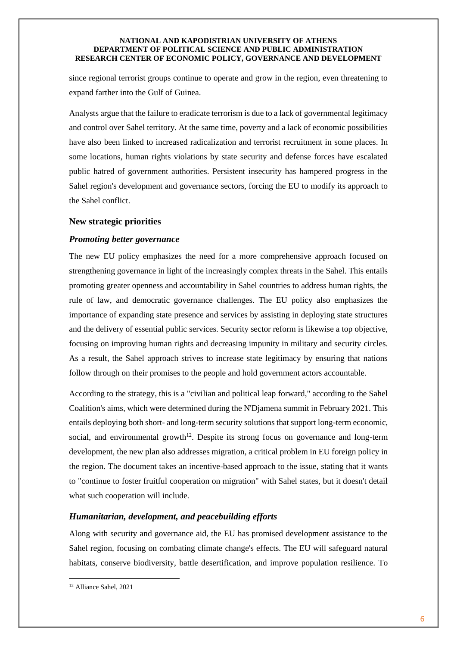since regional terrorist groups continue to operate and grow in the region, even threatening to expand farther into the Gulf of Guinea.

Analysts argue that the failure to eradicate terrorism is due to a lack of governmental legitimacy and control over Sahel territory. At the same time, poverty and a lack of economic possibilities have also been linked to increased radicalization and terrorist recruitment in some places. In some locations, human rights violations by state security and defense forces have escalated public hatred of government authorities. Persistent insecurity has hampered progress in the Sahel region's development and governance sectors, forcing the EU to modify its approach to the Sahel conflict.

# **New strategic priorities**

# *Promoting better governance*

The new EU policy emphasizes the need for a more comprehensive approach focused on strengthening governance in light of the increasingly complex threats in the Sahel. This entails promoting greater openness and accountability in Sahel countries to address human rights, the rule of law, and democratic governance challenges. The EU policy also emphasizes the importance of expanding state presence and services by assisting in deploying state structures and the delivery of essential public services. Security sector reform is likewise a top objective, focusing on improving human rights and decreasing impunity in military and security circles. As a result, the Sahel approach strives to increase state legitimacy by ensuring that nations follow through on their promises to the people and hold government actors accountable.

According to the strategy, this is a "civilian and political leap forward," according to the Sahel Coalition's aims, which were determined during the N'Djamena summit in February 2021. This entails deploying both short- and long-term security solutions that support long-term economic, social, and environmental growth $12$ . Despite its strong focus on governance and long-term development, the new plan also addresses migration, a critical problem in EU foreign policy in the region. The document takes an incentive-based approach to the issue, stating that it wants to "continue to foster fruitful cooperation on migration" with Sahel states, but it doesn't detail what such cooperation will include.

# *Humanitarian, development, and peacebuilding efforts*

Along with security and governance aid, the EU has promised development assistance to the Sahel region, focusing on combating climate change's effects. The EU will safeguard natural habitats, conserve biodiversity, battle desertification, and improve population resilience. To

<sup>12</sup> Alliance Sahel, 2021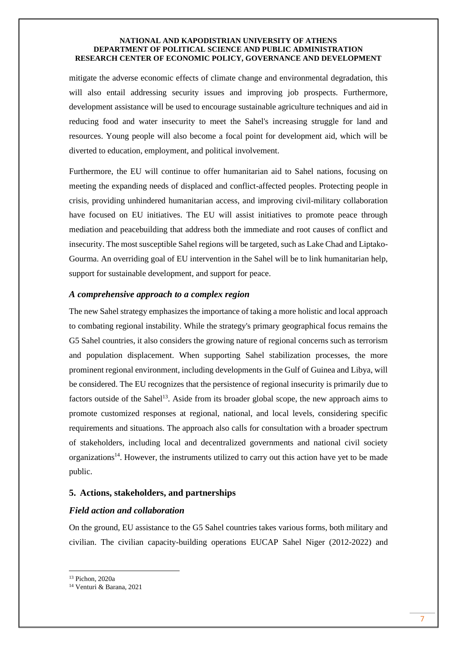mitigate the adverse economic effects of climate change and environmental degradation, this will also entail addressing security issues and improving job prospects. Furthermore, development assistance will be used to encourage sustainable agriculture techniques and aid in reducing food and water insecurity to meet the Sahel's increasing struggle for land and resources. Young people will also become a focal point for development aid, which will be diverted to education, employment, and political involvement.

Furthermore, the EU will continue to offer humanitarian aid to Sahel nations, focusing on meeting the expanding needs of displaced and conflict-affected peoples. Protecting people in crisis, providing unhindered humanitarian access, and improving civil-military collaboration have focused on EU initiatives. The EU will assist initiatives to promote peace through mediation and peacebuilding that address both the immediate and root causes of conflict and insecurity. The most susceptible Sahel regions will be targeted, such as Lake Chad and Liptako-Gourma. An overriding goal of EU intervention in the Sahel will be to link humanitarian help, support for sustainable development, and support for peace.

## *A comprehensive approach to a complex region*

The new Sahel strategy emphasizes the importance of taking a more holistic and local approach to combating regional instability. While the strategy's primary geographical focus remains the G5 Sahel countries, it also considers the growing nature of regional concerns such as terrorism and population displacement. When supporting Sahel stabilization processes, the more prominent regional environment, including developments in the Gulf of Guinea and Libya, will be considered. The EU recognizes that the persistence of regional insecurity is primarily due to factors outside of the Sahel<sup>13</sup>. Aside from its broader global scope, the new approach aims to promote customized responses at regional, national, and local levels, considering specific requirements and situations. The approach also calls for consultation with a broader spectrum of stakeholders, including local and decentralized governments and national civil society organizations<sup>14</sup>. However, the instruments utilized to carry out this action have yet to be made public.

## **5. Actions, stakeholders, and partnerships**

# *Field action and collaboration*

On the ground, EU assistance to the G5 Sahel countries takes various forms, both military and civilian. The civilian capacity-building operations EUCAP Sahel Niger (2012-2022) and

<sup>13</sup> Pichon, 2020a

<sup>14</sup> Venturi & Barana, 2021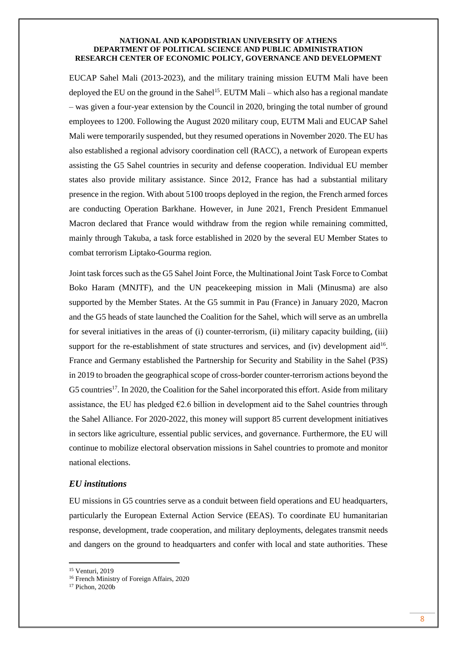EUCAP Sahel Mali (2013-2023), and the military training mission EUTM Mali have been deployed the EU on the ground in the Sahel<sup>15</sup>. EUTM Mali – which also has a regional mandate – was given a four-year extension by the Council in 2020, bringing the total number of ground employees to 1200. Following the August 2020 military coup, EUTM Mali and EUCAP Sahel Mali were temporarily suspended, but they resumed operations in November 2020. The EU has also established a regional advisory coordination cell (RACC), a network of European experts assisting the G5 Sahel countries in security and defense cooperation. Individual EU member states also provide military assistance. Since 2012, France has had a substantial military presence in the region. With about 5100 troops deployed in the region, the French armed forces are conducting Operation Barkhane. However, in June 2021, French President Emmanuel Macron declared that France would withdraw from the region while remaining committed, mainly through Takuba, a task force established in 2020 by the several EU Member States to combat terrorism Liptako-Gourma region.

Joint task forces such as the G5 Sahel Joint Force, the Multinational Joint Task Force to Combat Boko Haram (MNJTF), and the UN peacekeeping mission in Mali (Minusma) are also supported by the Member States. At the G5 summit in Pau (France) in January 2020, Macron and the G5 heads of state launched the Coalition for the Sahel, which will serve as an umbrella for several initiatives in the areas of (i) counter-terrorism, (ii) military capacity building, (iii) support for the re-establishment of state structures and services, and  $(iv)$  development aid<sup>16</sup>. France and Germany established the Partnership for Security and Stability in the Sahel (P3S) in 2019 to broaden the geographical scope of cross-border counter-terrorism actions beyond the G5 countries<sup>17</sup>. In 2020, the Coalition for the Sahel incorporated this effort. Aside from military assistance, the EU has pledged  $\epsilon$ 2.6 billion in development aid to the Sahel countries through the Sahel Alliance. For 2020-2022, this money will support 85 current development initiatives in sectors like agriculture, essential public services, and governance. Furthermore, the EU will continue to mobilize electoral observation missions in Sahel countries to promote and monitor national elections.

# *EU institutions*

EU missions in G5 countries serve as a conduit between field operations and EU headquarters, particularly the European External Action Service (EEAS). To coordinate EU humanitarian response, development, trade cooperation, and military deployments, delegates transmit needs and dangers on the ground to headquarters and confer with local and state authorities. These

<sup>15</sup> Venturi, 2019

<sup>16</sup> French Ministry of Foreign Affairs, 2020

<sup>17</sup> Pichon, 2020b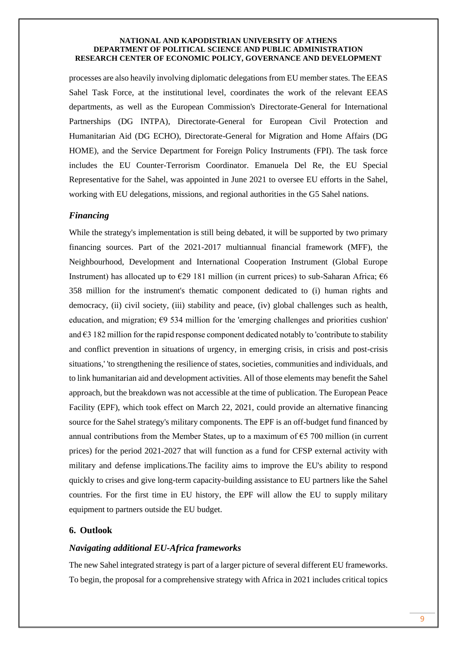processes are also heavily involving diplomatic delegations from EU member states. The EEAS Sahel Task Force, at the institutional level, coordinates the work of the relevant EEAS departments, as well as the European Commission's Directorate-General for International Partnerships (DG INTPA), Directorate-General for European Civil Protection and Humanitarian Aid (DG ECHO), Directorate-General for Migration and Home Affairs (DG HOME), and the Service Department for Foreign Policy Instruments (FPI). The task force includes the EU Counter-Terrorism Coordinator. Emanuela Del Re, the EU Special Representative for the Sahel, was appointed in June 2021 to oversee EU efforts in the Sahel, working with EU delegations, missions, and regional authorities in the G5 Sahel nations.

# *Financing*

While the strategy's implementation is still being debated, it will be supported by two primary financing sources. Part of the 2021-2017 multiannual financial framework (MFF), the Neighbourhood, Development and International Cooperation Instrument (Global Europe Instrument) has allocated up to  $\epsilon$ 29 181 million (in current prices) to sub-Saharan Africa;  $\epsilon$ 6 358 million for the instrument's thematic component dedicated to (i) human rights and democracy, (ii) civil society, (iii) stability and peace, (iv) global challenges such as health, education, and migration;  $\epsilon$ 9 534 million for the 'emerging challenges and priorities cushion' and €3 182 million for the rapid response component dedicated notably to 'contribute to stability and conflict prevention in situations of urgency, in emerging crisis, in crisis and post-crisis situations,' 'to strengthening the resilience of states, societies, communities and individuals, and to link humanitarian aid and development activities. All of those elements may benefit the Sahel approach, but the breakdown was not accessible at the time of publication. The European Peace Facility (EPF), which took effect on March 22, 2021, could provide an alternative financing source for the Sahel strategy's military components. The EPF is an off-budget fund financed by annual contributions from the Member States, up to a maximum of  $\epsilon$ 5 700 million (in current prices) for the period 2021-2027 that will function as a fund for CFSP external activity with military and defense implications.The facility aims to improve the EU's ability to respond quickly to crises and give long-term capacity-building assistance to EU partners like the Sahel countries. For the first time in EU history, the EPF will allow the EU to supply military equipment to partners outside the EU budget.

# **6. Outlook**

### *Navigating additional EU-Africa frameworks*

The new Sahel integrated strategy is part of a larger picture of several different EU frameworks. To begin, the proposal for a comprehensive strategy with Africa in 2021 includes critical topics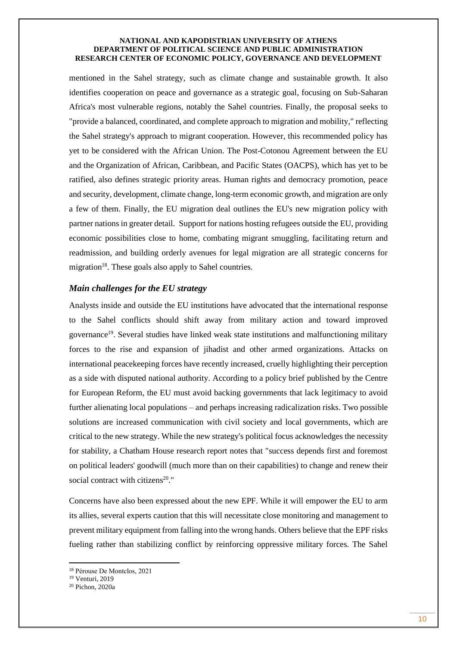mentioned in the Sahel strategy, such as climate change and sustainable growth. It also identifies cooperation on peace and governance as a strategic goal, focusing on Sub-Saharan Africa's most vulnerable regions, notably the Sahel countries. Finally, the proposal seeks to "provide a balanced, coordinated, and complete approach to migration and mobility," reflecting the Sahel strategy's approach to migrant cooperation. However, this recommended policy has yet to be considered with the African Union. The Post-Cotonou Agreement between the EU and the Organization of African, Caribbean, and Pacific States (OACPS), which has yet to be ratified, also defines strategic priority areas. Human rights and democracy promotion, peace and security, development, climate change, long-term economic growth, and migration are only a few of them. Finally, the EU migration deal outlines the EU's new migration policy with partner nations in greater detail. Support for nations hosting refugees outside the EU, providing economic possibilities close to home, combating migrant smuggling, facilitating return and readmission, and building orderly avenues for legal migration are all strategic concerns for migration<sup>18</sup>. These goals also apply to Sahel countries.

# *Main challenges for the EU strategy*

Analysts inside and outside the EU institutions have advocated that the international response to the Sahel conflicts should shift away from military action and toward improved governance<sup>19</sup>. Several studies have linked weak state institutions and malfunctioning military forces to the rise and expansion of jihadist and other armed organizations. Attacks on international peacekeeping forces have recently increased, cruelly highlighting their perception as a side with disputed national authority. According to a policy brief published by the Centre for European Reform, the EU must avoid backing governments that lack legitimacy to avoid further alienating local populations – and perhaps increasing radicalization risks. Two possible solutions are increased communication with civil society and local governments, which are critical to the new strategy. While the new strategy's political focus acknowledges the necessity for stability, a Chatham House research report notes that "success depends first and foremost on political leaders' goodwill (much more than on their capabilities) to change and renew their social contract with citizens<sup>20</sup>."

Concerns have also been expressed about the new EPF. While it will empower the EU to arm its allies, several experts caution that this will necessitate close monitoring and management to prevent military equipment from falling into the wrong hands. Others believe that the EPF risks fueling rather than stabilizing conflict by reinforcing oppressive military forces. The Sahel

<sup>18</sup> Pérouse De Montclos, 2021

<sup>19</sup> Venturi, 2019

<sup>20</sup> Pichon, 2020a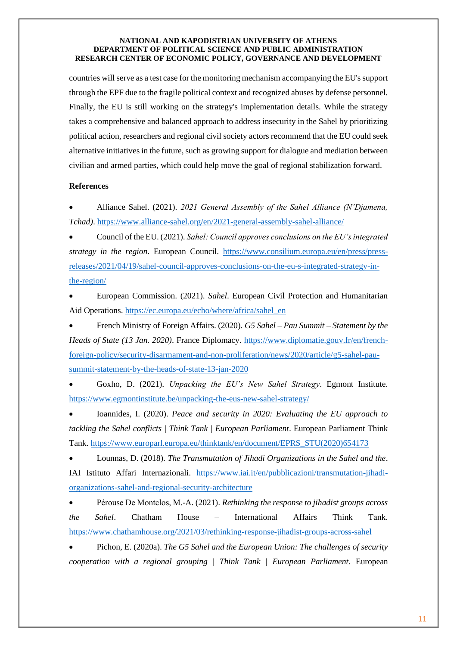countries will serve as a test case for the monitoring mechanism accompanying the EU's support through the EPF due to the fragile political context and recognized abuses by defense personnel. Finally, the EU is still working on the strategy's implementation details. While the strategy takes a comprehensive and balanced approach to address insecurity in the Sahel by prioritizing political action, researchers and regional civil society actors recommend that the EU could seek alternative initiatives in the future, such as growing support for dialogue and mediation between civilian and armed parties, which could help move the goal of regional stabilization forward.

## **References**

• Alliance Sahel. (2021). *2021 General Assembly of the Sahel Alliance (N'Djamena, Tchad)*[. https://www.alliance-sahel.org/en/2021-general-assembly-sahel-alliance/](https://www.alliance-sahel.org/en/2021-general-assembly-sahel-alliance/)

• Council of the EU. (2021). *Sahel: Council approves conclusions on the EU's integrated strategy in the region*. European Council. [https://www.consilium.europa.eu/en/press/press](https://www.consilium.europa.eu/en/press/press-releases/2021/04/19/sahel-council-approves-conclusions-on-the-eu-s-integrated-strategy-in-the-region/)[releases/2021/04/19/sahel-council-approves-conclusions-on-the-eu-s-integrated-strategy-in](https://www.consilium.europa.eu/en/press/press-releases/2021/04/19/sahel-council-approves-conclusions-on-the-eu-s-integrated-strategy-in-the-region/)[the-region/](https://www.consilium.europa.eu/en/press/press-releases/2021/04/19/sahel-council-approves-conclusions-on-the-eu-s-integrated-strategy-in-the-region/)

• European Commission. (2021). *Sahel*. European Civil Protection and Humanitarian Aid Operations. [https://ec.europa.eu/echo/where/africa/sahel\\_en](https://ec.europa.eu/echo/where/africa/sahel_en)

• French Ministry of Foreign Affairs. (2020). *G5 Sahel – Pau Summit – Statement by the Heads of State (13 Jan. 2020)*. France Diplomacy. [https://www.diplomatie.gouv.fr/en/french](https://www.diplomatie.gouv.fr/en/french-foreign-policy/security-disarmament-and-non-proliferation/news/2020/article/g5-sahel-pau-summit-statement-by-the-heads-of-state-13-jan-2020)[foreign-policy/security-disarmament-and-non-proliferation/news/2020/article/g5-sahel-pau](https://www.diplomatie.gouv.fr/en/french-foreign-policy/security-disarmament-and-non-proliferation/news/2020/article/g5-sahel-pau-summit-statement-by-the-heads-of-state-13-jan-2020)[summit-statement-by-the-heads-of-state-13-jan-2020](https://www.diplomatie.gouv.fr/en/french-foreign-policy/security-disarmament-and-non-proliferation/news/2020/article/g5-sahel-pau-summit-statement-by-the-heads-of-state-13-jan-2020)

• Goxho, D. (2021). *Unpacking the EU's New Sahel Strategy*. Egmont Institute. <https://www.egmontinstitute.be/unpacking-the-eus-new-sahel-strategy/>

• Ioannides, I. (2020). *Peace and security in 2020: Evaluating the EU approach to tackling the Sahel conflicts | Think Tank | European Parliament*. European Parliament Think Tank. [https://www.europarl.europa.eu/thinktank/en/document/EPRS\\_STU\(2020\)654173](https://www.europarl.europa.eu/thinktank/en/document/EPRS_STU(2020)654173)

• Lounnas, D. (2018). *The Transmutation of Jihadi Organizations in the Sahel and the*. IAI Istituto Affari Internazionali. [https://www.iai.it/en/pubblicazioni/transmutation-jihadi](https://www.iai.it/en/pubblicazioni/transmutation-jihadi-organizations-sahel-and-regional-security-architecture)[organizations-sahel-and-regional-security-architecture](https://www.iai.it/en/pubblicazioni/transmutation-jihadi-organizations-sahel-and-regional-security-architecture)

• Pérouse De Montclos, M.-A. (2021). *Rethinking the response to jihadist groups across the Sahel*. Chatham House – International Affairs Think Tank. <https://www.chathamhouse.org/2021/03/rethinking-response-jihadist-groups-across-sahel>

• Pichon, E. (2020a). *The G5 Sahel and the European Union: The challenges of security cooperation with a regional grouping | Think Tank | European Parliament*. European